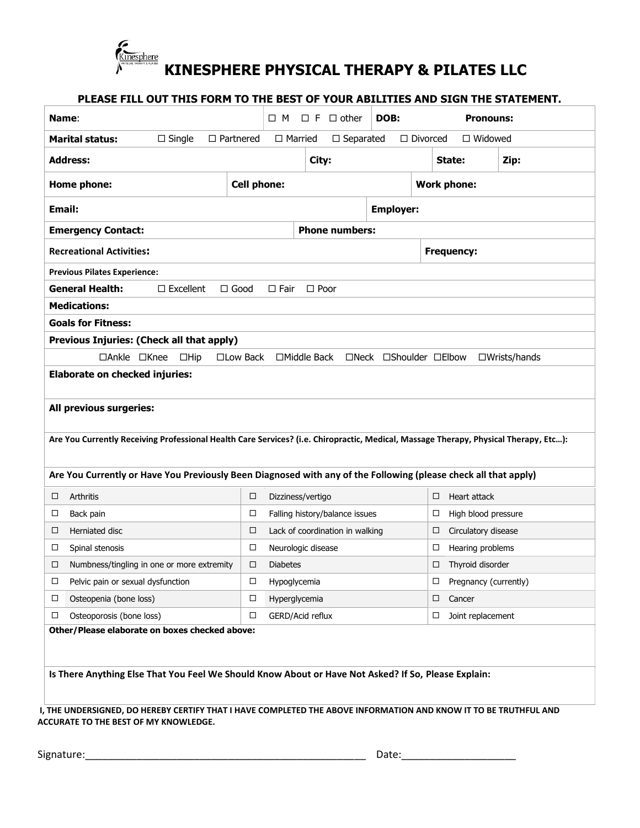

| Name:                                                            |                                                                                                                                      |                                    | □M                                    | $\Box$ F $\Box$ other           | DOB:                   |                                   |                                                        | <b>Pronouns:</b> |
|------------------------------------------------------------------|--------------------------------------------------------------------------------------------------------------------------------------|------------------------------------|---------------------------------------|---------------------------------|------------------------|-----------------------------------|--------------------------------------------------------|------------------|
| <b>Marital status:</b>                                           | $\Box$ Single                                                                                                                        | $\Box$ Partnered<br>$\Box$ Married |                                       | $\Box$ Separated                |                        | $\Box$ Divorced<br>$\Box$ Widowed |                                                        |                  |
| <b>Address:</b>                                                  |                                                                                                                                      |                                    |                                       | City:                           |                        |                                   | State:                                                 | Zip:             |
| Home phone:                                                      | <b>Cell phone:</b>                                                                                                                   |                                    |                                       |                                 |                        | <b>Work phone:</b>                |                                                        |                  |
| Email:                                                           |                                                                                                                                      | <b>Employer:</b>                   |                                       |                                 |                        |                                   |                                                        |                  |
| <b>Emergency Contact:</b>                                        |                                                                                                                                      |                                    |                                       | <b>Phone numbers:</b>           |                        |                                   |                                                        |                  |
| <b>Recreational Activities:</b>                                  |                                                                                                                                      |                                    |                                       |                                 |                        |                                   | <b>Frequency:</b>                                      |                  |
| <b>Previous Pilates Experience:</b>                              |                                                                                                                                      |                                    |                                       |                                 |                        |                                   |                                                        |                  |
| <b>General Health:</b>                                           | $\Box$ Excellent                                                                                                                     | $\Box$ Good                        | $\Box$ Fair                           | $\Box$ Poor                     |                        |                                   |                                                        |                  |
| <b>Medications:</b>                                              |                                                                                                                                      |                                    |                                       |                                 |                        |                                   |                                                        |                  |
| <b>Goals for Fitness:</b>                                        |                                                                                                                                      |                                    |                                       |                                 |                        |                                   |                                                        |                  |
|                                                                  | Previous Injuries: (Check all that apply)                                                                                            |                                    |                                       |                                 |                        |                                   |                                                        |                  |
| □Ankle □Knee                                                     | $\Box$ Hip                                                                                                                           | □Low Back                          |                                       | $\Box$ Middle Back              | □Neck □Shoulder □Elbow |                                   |                                                        | □Wrists/hands    |
|                                                                  |                                                                                                                                      |                                    |                                       |                                 |                        |                                   |                                                        |                  |
| <b>Elaborate on checked injuries:</b><br>All previous surgeries: | Are You Currently Receiving Professional Health Care Services? (i.e. Chiropractic, Medical, Massage Therapy, Physical Therapy, Etc): |                                    |                                       |                                 |                        |                                   |                                                        |                  |
|                                                                  | Are You Currently or Have You Previously Been Diagnosed with any of the Following (please check all that apply)                      |                                    |                                       |                                 |                        |                                   |                                                        |                  |
| Arthritis<br>$\Box$                                              |                                                                                                                                      | □                                  | Dizziness/vertigo                     |                                 |                        | □                                 | Heart attack<br>□                                      |                  |
| □<br>Back pain<br>Herniated disc<br>$\Box$                       |                                                                                                                                      | □<br>□                             |                                       | Falling history/balance issues  |                        |                                   | High blood pressure<br>□                               |                  |
| □                                                                |                                                                                                                                      | □                                  |                                       | Lack of coordination in walking |                        | $\Box$                            | Circulatory disease                                    |                  |
| Spinal stenosis                                                  | $\Box$ Numbness/tingling in one or more extremity                                                                                    | $\Box$                             | Neurologic disease<br><b>Diabetes</b> |                                 |                        |                                   | Hearing problems                                       |                  |
| Pelvic pain or sexual dysfunction<br>$\Box$                      |                                                                                                                                      | □                                  | Hypoglycemia                          |                                 |                        |                                   | $\Box$ Thyroid disorder<br>Pregnancy (currently)<br>□. |                  |
| Osteopenia (bone loss)<br>□                                      |                                                                                                                                      | □                                  | Hyperglycemia                         |                                 |                        | $\Box$                            | Cancer                                                 |                  |
| Osteoporosis (bone loss)<br>□                                    |                                                                                                                                      | □                                  | GERD/Acid reflux                      |                                 |                        |                                   | Joint replacement<br>$\Box$                            |                  |

Signature:\_\_\_\_\_\_\_\_\_\_\_\_\_\_\_\_\_\_\_\_\_\_\_\_\_\_\_\_\_\_\_\_\_\_\_\_\_\_\_\_\_\_\_\_\_\_\_\_\_ Date:\_\_\_\_\_\_\_\_\_\_\_\_\_\_\_\_\_\_\_\_